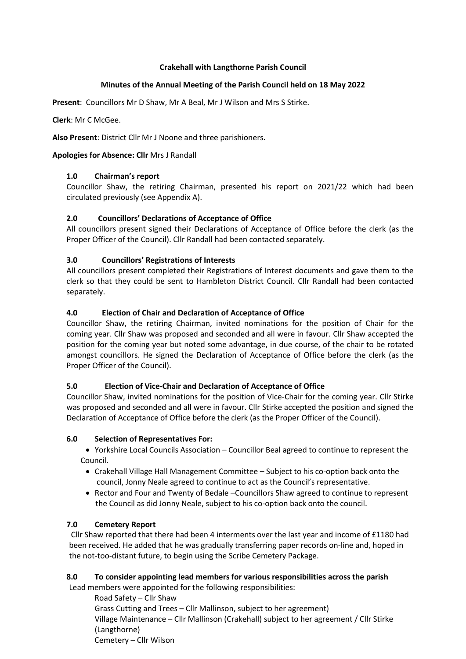#### Crakehall with Langthorne Parish Council

# Minutes of the Annual Meeting of the Parish Council held on 18 May 2022

Present: Councillors Mr D Shaw, Mr A Beal, Mr J Wilson and Mrs S Stirke.

Clerk: Mr C McGee.

Also Present: District Cllr Mr J Noone and three parishioners.

### Apologies for Absence: Cllr Mrs J Randall

# 1.0 Chairman's report

Councillor Shaw, the retiring Chairman, presented his report on 2021/22 which had been circulated previously (see Appendix A).

# 2.0 Councillors' Declarations of Acceptance of Office

All councillors present signed their Declarations of Acceptance of Office before the clerk (as the Proper Officer of the Council). Cllr Randall had been contacted separately.

# 3.0 Councillors' Registrations of Interests

All councillors present completed their Registrations of Interest documents and gave them to the clerk so that they could be sent to Hambleton District Council. Cllr Randall had been contacted separately.

# 4.0 Election of Chair and Declaration of Acceptance of Office

Councillor Shaw, the retiring Chairman, invited nominations for the position of Chair for the coming year. Cllr Shaw was proposed and seconded and all were in favour. Cllr Shaw accepted the position for the coming year but noted some advantage, in due course, of the chair to be rotated amongst councillors. He signed the Declaration of Acceptance of Office before the clerk (as the Proper Officer of the Council).

#### 5.0 Election of Vice-Chair and Declaration of Acceptance of Office

Councillor Shaw, invited nominations for the position of Vice-Chair for the coming year. Cllr Stirke was proposed and seconded and all were in favour. Cllr Stirke accepted the position and signed the Declaration of Acceptance of Office before the clerk (as the Proper Officer of the Council).

#### 6.0 Selection of Representatives For:

 Yorkshire Local Councils Association – Councillor Beal agreed to continue to represent the Council.

- Crakehall Village Hall Management Committee Subject to his co-option back onto the council, Jonny Neale agreed to continue to act as the Council's representative.
- Rector and Four and Twenty of Bedale –Councillors Shaw agreed to continue to represent the Council as did Jonny Neale, subject to his co-option back onto the council.

#### 7.0 Cemetery Report

 Cllr Shaw reported that there had been 4 interments over the last year and income of £1180 had been received. He added that he was gradually transferring paper records on-line and, hoped in the not-too-distant future, to begin using the Scribe Cemetery Package.

# 8.0 To consider appointing lead members for various responsibilities across the parish

 Lead members were appointed for the following responsibilities: Road Safety – Cllr Shaw Grass Cutting and Trees – Cllr Mallinson, subject to her agreement) Village Maintenance – Cllr Mallinson (Crakehall) subject to her agreement / Cllr Stirke (Langthorne) Cemetery – Cllr Wilson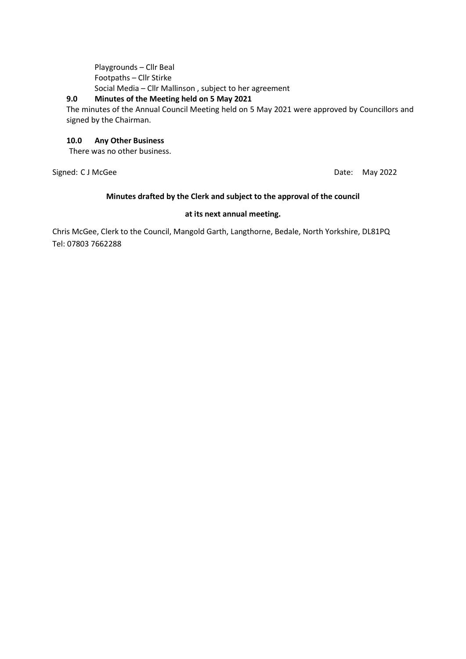Playgrounds – Cllr Beal Footpaths – Cllr Stirke Social Media – Cllr Mallinson , subject to her agreement

#### 9.0 Minutes of the Meeting held on 5 May 2021

The minutes of the Annual Council Meeting held on 5 May 2021 were approved by Councillors and signed by the Chairman.

#### 10.0 Any Other Business

There was no other business.

Signed: C J McGee Date: May 2022

#### Minutes drafted by the Clerk and subject to the approval of the council

#### at its next annual meeting.

Chris McGee, Clerk to the Council, Mangold Garth, Langthorne, Bedale, North Yorkshire, DL81PQ Tel: 07803 7662288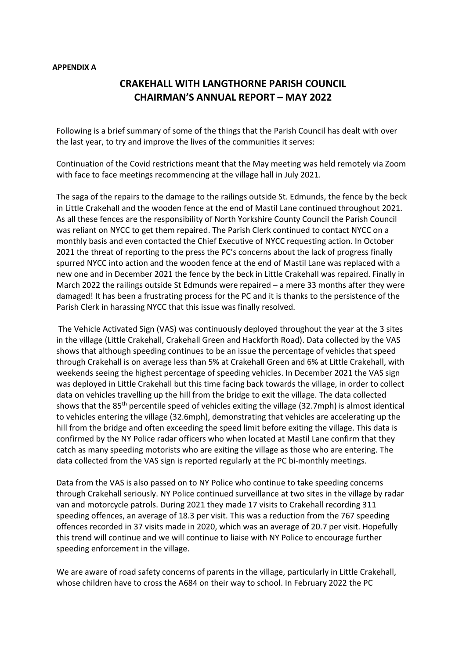#### APPENDIX A

# CRAKEHALL WITH LANGTHORNE PARISH COUNCIL CHAIRMAN'S ANNUAL REPORT – MAY 2022

Following is a brief summary of some of the things that the Parish Council has dealt with over the last year, to try and improve the lives of the communities it serves:

Continuation of the Covid restrictions meant that the May meeting was held remotely via Zoom with face to face meetings recommencing at the village hall in July 2021.

The saga of the repairs to the damage to the railings outside St. Edmunds, the fence by the beck in Little Crakehall and the wooden fence at the end of Mastil Lane continued throughout 2021. As all these fences are the responsibility of North Yorkshire County Council the Parish Council was reliant on NYCC to get them repaired. The Parish Clerk continued to contact NYCC on a monthly basis and even contacted the Chief Executive of NYCC requesting action. In October 2021 the threat of reporting to the press the PC's concerns about the lack of progress finally spurred NYCC into action and the wooden fence at the end of Mastil Lane was replaced with a new one and in December 2021 the fence by the beck in Little Crakehall was repaired. Finally in March 2022 the railings outside St Edmunds were repaired – a mere 33 months after they were damaged! It has been a frustrating process for the PC and it is thanks to the persistence of the Parish Clerk in harassing NYCC that this issue was finally resolved.

The Vehicle Activated Sign (VAS) was continuously deployed throughout the year at the 3 sites in the village (Little Crakehall, Crakehall Green and Hackforth Road). Data collected by the VAS shows that although speeding continues to be an issue the percentage of vehicles that speed through Crakehall is on average less than 5% at Crakehall Green and 6% at Little Crakehall, with weekends seeing the highest percentage of speeding vehicles. In December 2021 the VAS sign was deployed in Little Crakehall but this time facing back towards the village, in order to collect data on vehicles travelling up the hill from the bridge to exit the village. The data collected shows that the 85th percentile speed of vehicles exiting the village (32.7mph) is almost identical to vehicles entering the village (32.6mph), demonstrating that vehicles are accelerating up the hill from the bridge and often exceeding the speed limit before exiting the village. This data is confirmed by the NY Police radar officers who when located at Mastil Lane confirm that they catch as many speeding motorists who are exiting the village as those who are entering. The data collected from the VAS sign is reported regularly at the PC bi-monthly meetings.

Data from the VAS is also passed on to NY Police who continue to take speeding concerns through Crakehall seriously. NY Police continued surveillance at two sites in the village by radar van and motorcycle patrols. During 2021 they made 17 visits to Crakehall recording 311 speeding offences, an average of 18.3 per visit. This was a reduction from the 767 speeding offences recorded in 37 visits made in 2020, which was an average of 20.7 per visit. Hopefully this trend will continue and we will continue to liaise with NY Police to encourage further speeding enforcement in the village.

We are aware of road safety concerns of parents in the village, particularly in Little Crakehall, whose children have to cross the A684 on their way to school. In February 2022 the PC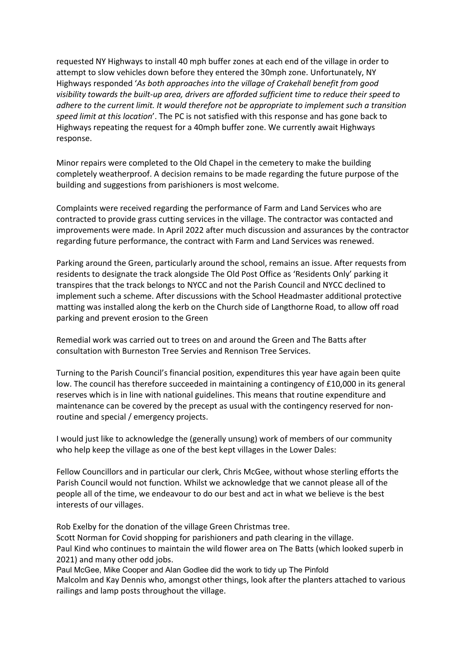requested NY Highways to install 40 mph buffer zones at each end of the village in order to attempt to slow vehicles down before they entered the 30mph zone. Unfortunately, NY Highways responded 'As both approaches into the village of Crakehall benefit from good visibility towards the built-up area, drivers are afforded sufficient time to reduce their speed to adhere to the current limit. It would therefore not be appropriate to implement such a transition speed limit at this location'. The PC is not satisfied with this response and has gone back to Highways repeating the request for a 40mph buffer zone. We currently await Highways response.

Minor repairs were completed to the Old Chapel in the cemetery to make the building completely weatherproof. A decision remains to be made regarding the future purpose of the building and suggestions from parishioners is most welcome.

Complaints were received regarding the performance of Farm and Land Services who are contracted to provide grass cutting services in the village. The contractor was contacted and improvements were made. In April 2022 after much discussion and assurances by the contractor regarding future performance, the contract with Farm and Land Services was renewed.

Parking around the Green, particularly around the school, remains an issue. After requests from residents to designate the track alongside The Old Post Office as 'Residents Only' parking it transpires that the track belongs to NYCC and not the Parish Council and NYCC declined to implement such a scheme. After discussions with the School Headmaster additional protective matting was installed along the kerb on the Church side of Langthorne Road, to allow off road parking and prevent erosion to the Green

Remedial work was carried out to trees on and around the Green and The Batts after consultation with Burneston Tree Servies and Rennison Tree Services.

Turning to the Parish Council's financial position, expenditures this year have again been quite low. The council has therefore succeeded in maintaining a contingency of £10,000 in its general reserves which is in line with national guidelines. This means that routine expenditure and maintenance can be covered by the precept as usual with the contingency reserved for nonroutine and special / emergency projects.

I would just like to acknowledge the (generally unsung) work of members of our community who help keep the village as one of the best kept villages in the Lower Dales:

Fellow Councillors and in particular our clerk, Chris McGee, without whose sterling efforts the Parish Council would not function. Whilst we acknowledge that we cannot please all of the people all of the time, we endeavour to do our best and act in what we believe is the best interests of our villages.

Rob Exelby for the donation of the village Green Christmas tree.

Scott Norman for Covid shopping for parishioners and path clearing in the village. Paul Kind who continues to maintain the wild flower area on The Batts (which looked superb in 2021) and many other odd jobs.

Paul McGee, Mike Cooper and Alan Godlee did the work to tidy up The Pinfold Malcolm and Kay Dennis who, amongst other things, look after the planters attached to various railings and lamp posts throughout the village.